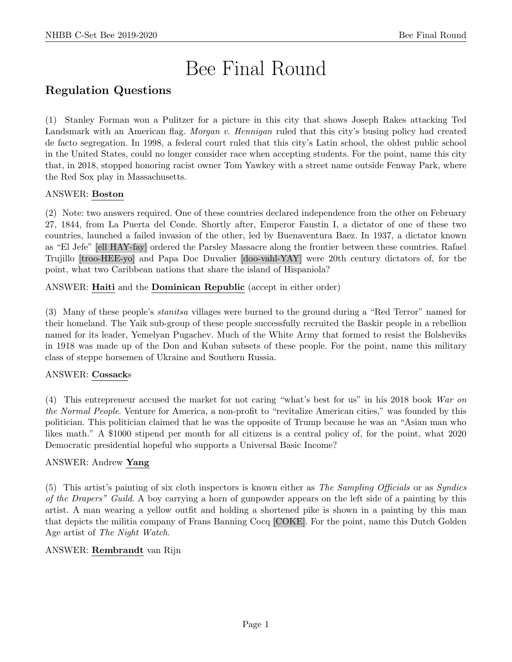# Bee Final Round

# Regulation Questions

(1) Stanley Forman won a Pulitzer for a picture in this city that shows Joseph Rakes attacking Ted Landsmark with an American flag. *Morgan v. Hennigan* ruled that this city's busing policy had created de facto segregation. In 1998, a federal court ruled that this city's Latin school, the oldest public school in the United States, could no longer consider race when accepting students. For the point, name this city that, in 2018, stopped honoring racist owner Tom Yawkey with a street name outside Fenway Park, where the Red Sox play in Massachusetts.

# ANSWER: Boston

(2) Note: two answers required. One of these countries declared independence from the other on February 27, 1844, from La Puerta del Conde. Shortly after, Emperor Faustin I, a dictator of one of these two countries, launched a failed invasion of the other, led by Buenaventura Baez. In 1937, a dictator known as "El Jefe" [ell HAY-fay] ordered the Parsley Massacre along the frontier between these countries. Rafael Trujillo [troo-HEE-yo] and Papa Doc Duvalier [doo-vahl-YAY] were 20th century dictators of, for the point, what two Caribbean nations that share the island of Hispaniola?

ANSWER: Haiti and the Dominican Republic (accept in either order)

(3) Many of these people's stanitsa villages were burned to the ground during a "Red Terror" named for their homeland. The Yaik sub-group of these people successfully recruited the Baskir people in a rebellion named for its leader, Yemelyan Pugachev. Much of the White Army that formed to resist the Bolsheviks in 1918 was made up of the Don and Kuban subsets of these people. For the point, name this military class of steppe horsemen of Ukraine and Southern Russia.

# ANSWER: Cossacks

(4) This entrepreneur accused the market for not caring "what's best for us" in his 2018 book War on the Normal People. Venture for America, a non-profit to "revitalize American cities," was founded by this politician. This politician claimed that he was the opposite of Trump because he was an "Asian man who likes math." A \$1000 stipend per month for all citizens is a central policy of, for the point, what 2020 Democratic presidential hopeful who supports a Universal Basic Income?

# ANSWER: Andrew Yang

(5) This artist's painting of six cloth inspectors is known either as The Sampling Officials or as Syndics of the Drapers" Guild. A boy carrying a horn of gunpowder appears on the left side of a painting by this artist. A man wearing a yellow outfit and holding a shortened pike is shown in a painting by this man that depicts the militia company of Frans Banning Cocq [COKE]. For the point, name this Dutch Golden Age artist of The Night Watch.

# ANSWER: Rembrandt van Rijn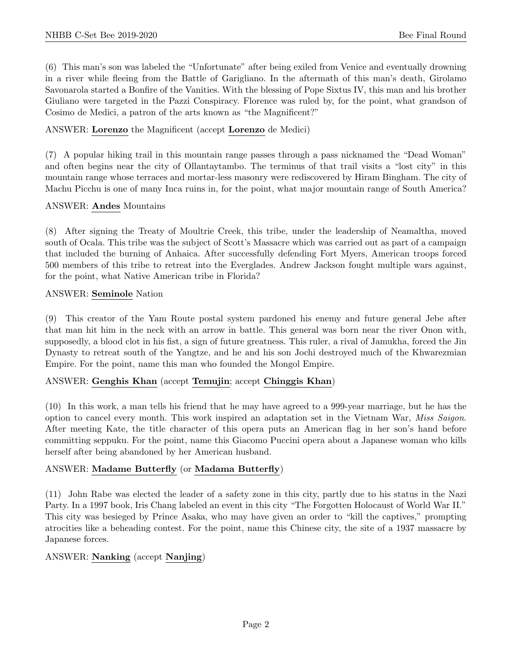(6) This man's son was labeled the "Unfortunate" after being exiled from Venice and eventually drowning in a river while fleeing from the Battle of Garigliano. In the aftermath of this man's death, Girolamo Savonarola started a Bonfire of the Vanities. With the blessing of Pope Sixtus IV, this man and his brother Giuliano were targeted in the Pazzi Conspiracy. Florence was ruled by, for the point, what grandson of Cosimo de Medici, a patron of the arts known as "the Magnificent?"

#### ANSWER: Lorenzo the Magnificent (accept Lorenzo de Medici)

(7) A popular hiking trail in this mountain range passes through a pass nicknamed the "Dead Woman" and often begins near the city of Ollantaytambo. The terminus of that trail visits a "lost city" in this mountain range whose terraces and mortar-less masonry were rediscovered by Hiram Bingham. The city of Machu Picchu is one of many Inca ruins in, for the point, what major mountain range of South America?

#### ANSWER: Andes Mountains

(8) After signing the Treaty of Moultrie Creek, this tribe, under the leadership of Neamaltha, moved south of Ocala. This tribe was the subject of Scott's Massacre which was carried out as part of a campaign that included the burning of Anhaica. After successfully defending Fort Myers, American troops forced 500 members of this tribe to retreat into the Everglades. Andrew Jackson fought multiple wars against, for the point, what Native American tribe in Florida?

#### ANSWER: Seminole Nation

(9) This creator of the Yam Route postal system pardoned his enemy and future general Jebe after that man hit him in the neck with an arrow in battle. This general was born near the river Onon with, supposedly, a blood clot in his fist, a sign of future greatness. This ruler, a rival of Jamukha, forced the Jin Dynasty to retreat south of the Yangtze, and he and his son Jochi destroyed much of the Khwarezmian Empire. For the point, name this man who founded the Mongol Empire.

# ANSWER: Genghis Khan (accept Temujin; accept Chinggis Khan)

(10) In this work, a man tells his friend that he may have agreed to a 999-year marriage, but he has the option to cancel every month. This work inspired an adaptation set in the Vietnam War, Miss Saigon. After meeting Kate, the title character of this opera puts an American flag in her son's hand before committing seppuku. For the point, name this Giacomo Puccini opera about a Japanese woman who kills herself after being abandoned by her American husband.

#### ANSWER: Madame Butterfly (or Madama Butterfly)

(11) John Rabe was elected the leader of a safety zone in this city, partly due to his status in the Nazi Party. In a 1997 book, Iris Chang labeled an event in this city "The Forgotten Holocaust of World War II." This city was besieged by Prince Asaka, who may have given an order to "kill the captives," prompting atrocities like a beheading contest. For the point, name this Chinese city, the site of a 1937 massacre by Japanese forces.

# ANSWER: Nanking (accept Nanjing)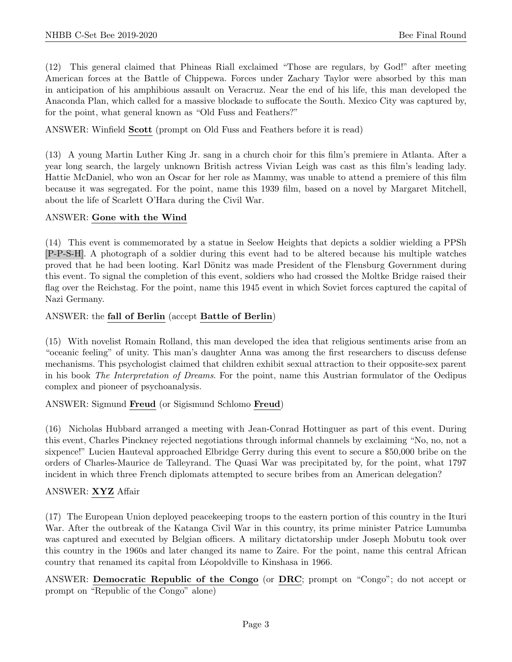(12) This general claimed that Phineas Riall exclaimed "Those are regulars, by God!" after meeting American forces at the Battle of Chippewa. Forces under Zachary Taylor were absorbed by this man in anticipation of his amphibious assault on Veracruz. Near the end of his life, this man developed the Anaconda Plan, which called for a massive blockade to suffocate the South. Mexico City was captured by, for the point, what general known as "Old Fuss and Feathers?"

ANSWER: Winfield Scott (prompt on Old Fuss and Feathers before it is read)

(13) A young Martin Luther King Jr. sang in a church choir for this film's premiere in Atlanta. After a year long search, the largely unknown British actress Vivian Leigh was cast as this film's leading lady. Hattie McDaniel, who won an Oscar for her role as Mammy, was unable to attend a premiere of this film because it was segregated. For the point, name this 1939 film, based on a novel by Margaret Mitchell, about the life of Scarlett O'Hara during the Civil War.

#### ANSWER: Gone with the Wind

(14) This event is commemorated by a statue in Seelow Heights that depicts a soldier wielding a PPSh [P-P-S-H]. A photograph of a soldier during this event had to be altered because his multiple watches proved that he had been looting. Karl Dönitz was made President of the Flensburg Government during this event. To signal the completion of this event, soldiers who had crossed the Moltke Bridge raised their flag over the Reichstag. For the point, name this 1945 event in which Soviet forces captured the capital of Nazi Germany.

#### ANSWER: the fall of Berlin (accept Battle of Berlin)

(15) With novelist Romain Rolland, this man developed the idea that religious sentiments arise from an "oceanic feeling" of unity. This man's daughter Anna was among the first researchers to discuss defense mechanisms. This psychologist claimed that children exhibit sexual attraction to their opposite-sex parent in his book The Interpretation of Dreams. For the point, name this Austrian formulator of the Oedipus complex and pioneer of psychoanalysis.

#### ANSWER: Sigmund Freud (or Sigismund Schlomo Freud)

(16) Nicholas Hubbard arranged a meeting with Jean-Conrad Hottinguer as part of this event. During this event, Charles Pinckney rejected negotiations through informal channels by exclaiming "No, no, not a sixpence!" Lucien Hauteval approached Elbridge Gerry during this event to secure a \$50,000 bribe on the orders of Charles-Maurice de Talleyrand. The Quasi War was precipitated by, for the point, what 1797 incident in which three French diplomats attempted to secure bribes from an American delegation?

# ANSWER: XYZ Affair

(17) The European Union deployed peacekeeping troops to the eastern portion of this country in the Ituri War. After the outbreak of the Katanga Civil War in this country, its prime minister Patrice Lumumba was captured and executed by Belgian officers. A military dictatorship under Joseph Mobutu took over this country in the 1960s and later changed its name to Zaire. For the point, name this central African country that renamed its capital from Léopoldville to Kinshasa in 1966.

ANSWER: Democratic Republic of the Congo (or DRC; prompt on "Congo"; do not accept or prompt on "Republic of the Congo" alone)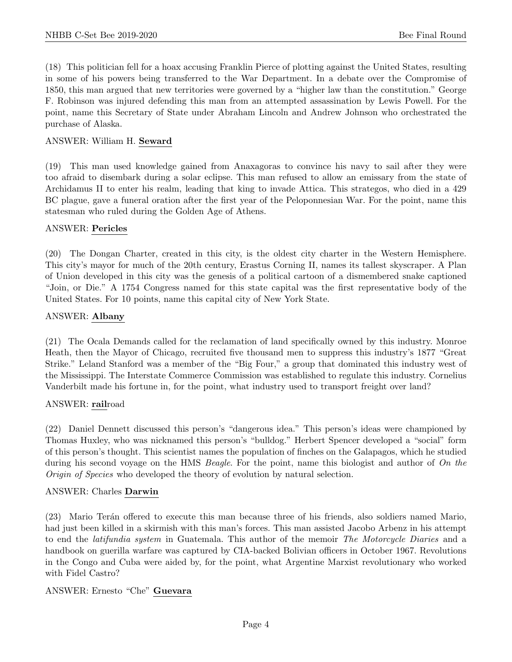(18) This politician fell for a hoax accusing Franklin Pierce of plotting against the United States, resulting in some of his powers being transferred to the War Department. In a debate over the Compromise of 1850, this man argued that new territories were governed by a "higher law than the constitution." George F. Robinson was injured defending this man from an attempted assassination by Lewis Powell. For the point, name this Secretary of State under Abraham Lincoln and Andrew Johnson who orchestrated the purchase of Alaska.

#### ANSWER: William H. Seward

(19) This man used knowledge gained from Anaxagoras to convince his navy to sail after they were too afraid to disembark during a solar eclipse. This man refused to allow an emissary from the state of Archidamus II to enter his realm, leading that king to invade Attica. This strategos, who died in a 429 BC plague, gave a funeral oration after the first year of the Peloponnesian War. For the point, name this statesman who ruled during the Golden Age of Athens.

#### ANSWER: Pericles

(20) The Dongan Charter, created in this city, is the oldest city charter in the Western Hemisphere. This city's mayor for much of the 20th century, Erastus Corning II, names its tallest skyscraper. A Plan of Union developed in this city was the genesis of a political cartoon of a dismembered snake captioned "Join, or Die." A 1754 Congress named for this state capital was the first representative body of the United States. For 10 points, name this capital city of New York State.

#### ANSWER: Albany

(21) The Ocala Demands called for the reclamation of land specifically owned by this industry. Monroe Heath, then the Mayor of Chicago, recruited five thousand men to suppress this industry's 1877 "Great Strike." Leland Stanford was a member of the "Big Four," a group that dominated this industry west of the Mississippi. The Interstate Commerce Commission was established to regulate this industry. Cornelius Vanderbilt made his fortune in, for the point, what industry used to transport freight over land?

#### ANSWER: railroad

(22) Daniel Dennett discussed this person's "dangerous idea." This person's ideas were championed by Thomas Huxley, who was nicknamed this person's "bulldog." Herbert Spencer developed a "social" form of this person's thought. This scientist names the population of finches on the Galapagos, which he studied during his second voyage on the HMS *Beagle*. For the point, name this biologist and author of On the Origin of Species who developed the theory of evolution by natural selection.

#### ANSWER: Charles Darwin

(23) Mario Ter´an offered to execute this man because three of his friends, also soldiers named Mario, had just been killed in a skirmish with this man's forces. This man assisted Jacobo Arbenz in his attempt to end the latifundia system in Guatemala. This author of the memoir The Motorcycle Diaries and a handbook on guerilla warfare was captured by CIA-backed Bolivian officers in October 1967. Revolutions in the Congo and Cuba were aided by, for the point, what Argentine Marxist revolutionary who worked with Fidel Castro?

# ANSWER: Ernesto "Che" Guevara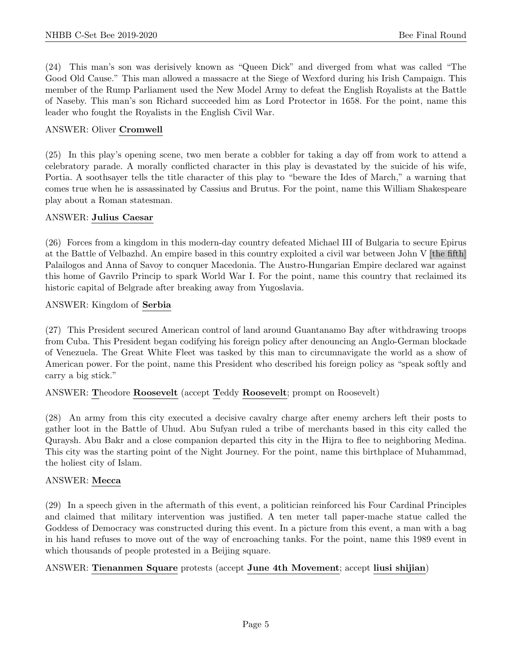(24) This man's son was derisively known as "Queen Dick" and diverged from what was called "The Good Old Cause." This man allowed a massacre at the Siege of Wexford during his Irish Campaign. This member of the Rump Parliament used the New Model Army to defeat the English Royalists at the Battle of Naseby. This man's son Richard succeeded him as Lord Protector in 1658. For the point, name this leader who fought the Royalists in the English Civil War.

#### ANSWER: Oliver Cromwell

(25) In this play's opening scene, two men berate a cobbler for taking a day off from work to attend a celebratory parade. A morally conflicted character in this play is devastated by the suicide of his wife, Portia. A soothsayer tells the title character of this play to "beware the Ides of March," a warning that comes true when he is assassinated by Cassius and Brutus. For the point, name this William Shakespeare play about a Roman statesman.

#### ANSWER: Julius Caesar

(26) Forces from a kingdom in this modern-day country defeated Michael III of Bulgaria to secure Epirus at the Battle of Velbazhd. An empire based in this country exploited a civil war between John V [the fifth] Palailogos and Anna of Savoy to conquer Macedonia. The Austro-Hungarian Empire declared war against this home of Gavrilo Princip to spark World War I. For the point, name this country that reclaimed its historic capital of Belgrade after breaking away from Yugoslavia.

#### ANSWER: Kingdom of Serbia

(27) This President secured American control of land around Guantanamo Bay after withdrawing troops from Cuba. This President began codifying his foreign policy after denouncing an Anglo-German blockade of Venezuela. The Great White Fleet was tasked by this man to circumnavigate the world as a show of American power. For the point, name this President who described his foreign policy as "speak softly and carry a big stick."

#### ANSWER: Theodore Roosevelt (accept Teddy Roosevelt; prompt on Roosevelt)

(28) An army from this city executed a decisive cavalry charge after enemy archers left their posts to gather loot in the Battle of Uhud. Abu Sufyan ruled a tribe of merchants based in this city called the Quraysh. Abu Bakr and a close companion departed this city in the Hijra to flee to neighboring Medina. This city was the starting point of the Night Journey. For the point, name this birthplace of Muhammad, the holiest city of Islam.

#### ANSWER: Mecca

(29) In a speech given in the aftermath of this event, a politician reinforced his Four Cardinal Principles and claimed that military intervention was justified. A ten meter tall paper-mache statue called the Goddess of Democracy was constructed during this event. In a picture from this event, a man with a bag in his hand refuses to move out of the way of encroaching tanks. For the point, name this 1989 event in which thousands of people protested in a Beijing square.

# ANSWER: Tienanmen Square protests (accept June 4th Movement; accept liusi shijian)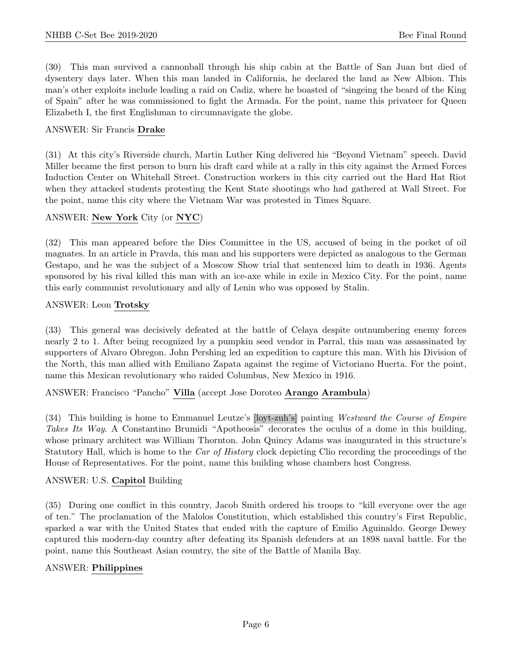(30) This man survived a cannonball through his ship cabin at the Battle of San Juan but died of dysentery days later. When this man landed in California, he declared the land as New Albion. This man's other exploits include leading a raid on Cadiz, where he boasted of "singeing the beard of the King of Spain" after he was commissioned to fight the Armada. For the point, name this privateer for Queen Elizabeth I, the first Englishman to circumnavigate the globe.

#### ANSWER: Sir Francis Drake

(31) At this city's Riverside church, Martin Luther King delivered his "Beyond Vietnam" speech. David Miller became the first person to burn his draft card while at a rally in this city against the Armed Forces Induction Center on Whitehall Street. Construction workers in this city carried out the Hard Hat Riot when they attacked students protesting the Kent State shootings who had gathered at Wall Street. For the point, name this city where the Vietnam War was protested in Times Square.

#### ANSWER: New York City (or NYC)

(32) This man appeared before the Dies Committee in the US, accused of being in the pocket of oil magnates. In an article in Pravda, this man and his supporters were depicted as analogous to the German Gestapo, and he was the subject of a Moscow Show trial that sentenced him to death in 1936. Agents sponsored by his rival killed this man with an ice-axe while in exile in Mexico City. For the point, name this early communist revolutionary and ally of Lenin who was opposed by Stalin.

#### ANSWER: Leon Trotsky

(33) This general was decisively defeated at the battle of Celaya despite outnumbering enemy forces nearly 2 to 1. After being recognized by a pumpkin seed vendor in Parral, this man was assassinated by supporters of Alvaro Obregon. John Pershing led an expedition to capture this man. With his Division of the North, this man allied with Emiliano Zapata against the regime of Victoriano Huerta. For the point, name this Mexican revolutionary who raided Columbus, New Mexico in 1916.

ANSWER: Francisco "Pancho" Villa (accept Jose Doroteo Arango Arambula)

(34) This building is home to Emmanuel Leutze's [loyt-zuh's] painting Westward the Course of Empire Takes Its Way. A Constantino Brumidi "Apotheosis" decorates the oculus of a dome in this building, whose primary architect was William Thornton. John Quincy Adams was inaugurated in this structure's Statutory Hall, which is home to the *Car of History* clock depicting Clio recording the proceedings of the House of Representatives. For the point, name this building whose chambers host Congress.

# ANSWER: U.S. Capitol Building

(35) During one conflict in this country, Jacob Smith ordered his troops to "kill everyone over the age of ten." The proclamation of the Malolos Constitution, which established this country's First Republic, sparked a war with the United States that ended with the capture of Emilio Aguinaldo. George Dewey captured this modern-day country after defeating its Spanish defenders at an 1898 naval battle. For the point, name this Southeast Asian country, the site of the Battle of Manila Bay.

#### ANSWER: Philippines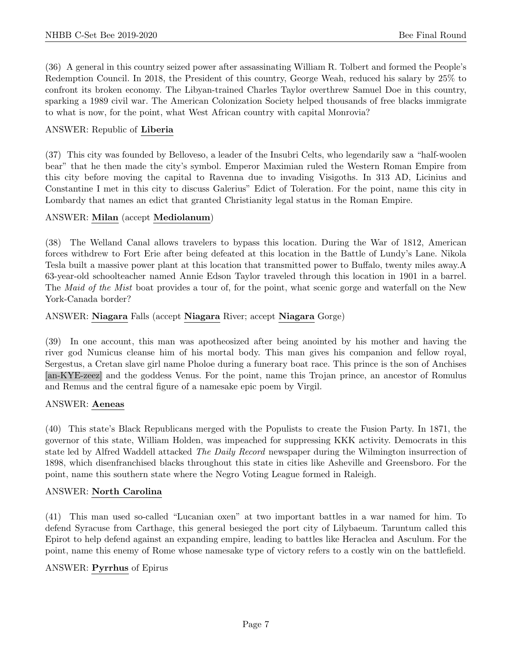(36) A general in this country seized power after assassinating William R. Tolbert and formed the People's Redemption Council. In 2018, the President of this country, George Weah, reduced his salary by 25% to confront its broken economy. The Libyan-trained Charles Taylor overthrew Samuel Doe in this country, sparking a 1989 civil war. The American Colonization Society helped thousands of free blacks immigrate to what is now, for the point, what West African country with capital Monrovia?

#### ANSWER: Republic of Liberia

(37) This city was founded by Belloveso, a leader of the Insubri Celts, who legendarily saw a "half-woolen bear" that he then made the city's symbol. Emperor Maximian ruled the Western Roman Empire from this city before moving the capital to Ravenna due to invading Visigoths. In 313 AD, Licinius and Constantine I met in this city to discuss Galerius" Edict of Toleration. For the point, name this city in Lombardy that names an edict that granted Christianity legal status in the Roman Empire.

#### ANSWER: Milan (accept Mediolanum)

(38) The Welland Canal allows travelers to bypass this location. During the War of 1812, American forces withdrew to Fort Erie after being defeated at this location in the Battle of Lundy's Lane. Nikola Tesla built a massive power plant at this location that transmitted power to Buffalo, twenty miles away.A 63-year-old schoolteacher named Annie Edson Taylor traveled through this location in 1901 in a barrel. The *Maid of the Mist* boat provides a tour of, for the point, what scenic gorge and waterfall on the New York-Canada border?

#### ANSWER: Niagara Falls (accept Niagara River; accept Niagara Gorge)

(39) In one account, this man was apotheosized after being anointed by his mother and having the river god Numicus cleanse him of his mortal body. This man gives his companion and fellow royal, Sergestus, a Cretan slave girl name Pholoe during a funerary boat race. This prince is the son of Anchises [an-KYE-zeez] and the goddess Venus. For the point, name this Trojan prince, an ancestor of Romulus and Remus and the central figure of a namesake epic poem by Virgil.

#### ANSWER: Aeneas

(40) This state's Black Republicans merged with the Populists to create the Fusion Party. In 1871, the governor of this state, William Holden, was impeached for suppressing KKK activity. Democrats in this state led by Alfred Waddell attacked The Daily Record newspaper during the Wilmington insurrection of 1898, which disenfranchised blacks throughout this state in cities like Asheville and Greensboro. For the point, name this southern state where the Negro Voting League formed in Raleigh.

#### ANSWER: North Carolina

(41) This man used so-called "Lucanian oxen" at two important battles in a war named for him. To defend Syracuse from Carthage, this general besieged the port city of Lilybaeum. Taruntum called this Epirot to help defend against an expanding empire, leading to battles like Heraclea and Asculum. For the point, name this enemy of Rome whose namesake type of victory refers to a costly win on the battlefield.

#### ANSWER: Pyrrhus of Epirus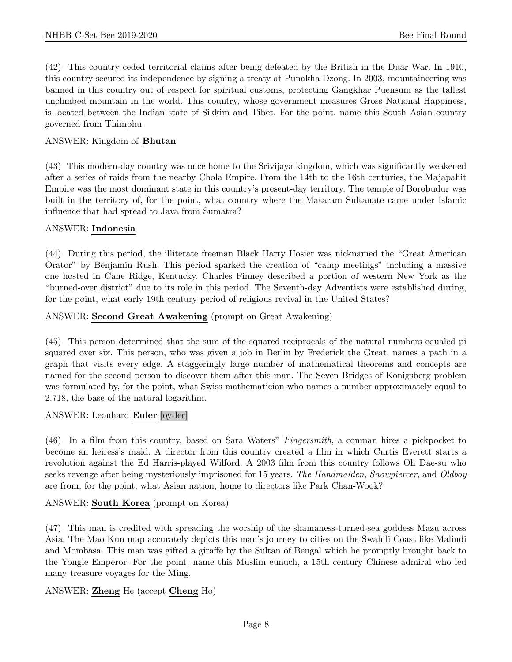(42) This country ceded territorial claims after being defeated by the British in the Duar War. In 1910, this country secured its independence by signing a treaty at Punakha Dzong. In 2003, mountaineering was banned in this country out of respect for spiritual customs, protecting Gangkhar Puensum as the tallest unclimbed mountain in the world. This country, whose government measures Gross National Happiness, is located between the Indian state of Sikkim and Tibet. For the point, name this South Asian country governed from Thimphu.

#### ANSWER: Kingdom of Bhutan

(43) This modern-day country was once home to the Srivijaya kingdom, which was significantly weakened after a series of raids from the nearby Chola Empire. From the 14th to the 16th centuries, the Majapahit Empire was the most dominant state in this country's present-day territory. The temple of Borobudur was built in the territory of, for the point, what country where the Mataram Sultanate came under Islamic influence that had spread to Java from Sumatra?

#### ANSWER: Indonesia

(44) During this period, the illiterate freeman Black Harry Hosier was nicknamed the "Great American Orator" by Benjamin Rush. This period sparked the creation of "camp meetings" including a massive one hosted in Cane Ridge, Kentucky. Charles Finney described a portion of western New York as the "burned-over district" due to its role in this period. The Seventh-day Adventists were established during, for the point, what early 19th century period of religious revival in the United States?

#### ANSWER: Second Great Awakening (prompt on Great Awakening)

(45) This person determined that the sum of the squared reciprocals of the natural numbers equaled pi squared over six. This person, who was given a job in Berlin by Frederick the Great, names a path in a graph that visits every edge. A staggeringly large number of mathematical theorems and concepts are named for the second person to discover them after this man. The Seven Bridges of Konigsberg problem was formulated by, for the point, what Swiss mathematician who names a number approximately equal to 2.718, the base of the natural logarithm.

#### ANSWER: Leonhard Euler [oy-ler]

(46) In a film from this country, based on Sara Waters" Fingersmith, a conman hires a pickpocket to become an heiress's maid. A director from this country created a film in which Curtis Everett starts a revolution against the Ed Harris-played Wilford. A 2003 film from this country follows Oh Dae-su who seeks revenge after being mysteriously imprisoned for 15 years. The Handmaiden, Snowpiercer, and Oldboy are from, for the point, what Asian nation, home to directors like Park Chan-Wook?

# ANSWER: South Korea (prompt on Korea)

(47) This man is credited with spreading the worship of the shamaness-turned-sea goddess Mazu across Asia. The Mao Kun map accurately depicts this man's journey to cities on the Swahili Coast like Malindi and Mombasa. This man was gifted a giraffe by the Sultan of Bengal which he promptly brought back to the Yongle Emperor. For the point, name this Muslim eunuch, a 15th century Chinese admiral who led many treasure voyages for the Ming.

# ANSWER: Zheng He (accept Cheng Ho)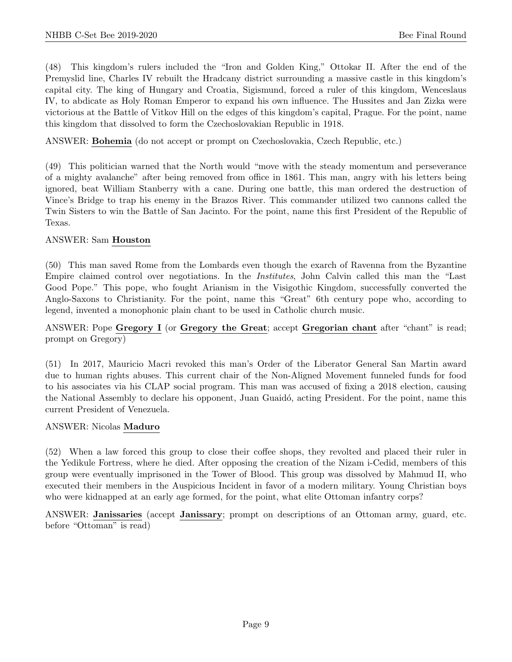(48) This kingdom's rulers included the "Iron and Golden King," Ottokar II. After the end of the Premyslid line, Charles IV rebuilt the Hradcany district surrounding a massive castle in this kingdom's capital city. The king of Hungary and Croatia, Sigismund, forced a ruler of this kingdom, Wenceslaus IV, to abdicate as Holy Roman Emperor to expand his own influence. The Hussites and Jan Zizka were victorious at the Battle of Vitkov Hill on the edges of this kingdom's capital, Prague. For the point, name this kingdom that dissolved to form the Czechoslovakian Republic in 1918.

ANSWER: Bohemia (do not accept or prompt on Czechoslovakia, Czech Republic, etc.)

(49) This politician warned that the North would "move with the steady momentum and perseverance of a mighty avalanche" after being removed from office in 1861. This man, angry with his letters being ignored, beat William Stanberry with a cane. During one battle, this man ordered the destruction of Vince's Bridge to trap his enemy in the Brazos River. This commander utilized two cannons called the Twin Sisters to win the Battle of San Jacinto. For the point, name this first President of the Republic of Texas.

#### ANSWER: Sam Houston

(50) This man saved Rome from the Lombards even though the exarch of Ravenna from the Byzantine Empire claimed control over negotiations. In the Institutes, John Calvin called this man the "Last Good Pope." This pope, who fought Arianism in the Visigothic Kingdom, successfully converted the Anglo-Saxons to Christianity. For the point, name this "Great" 6th century pope who, according to legend, invented a monophonic plain chant to be used in Catholic church music.

# ANSWER: Pope Gregory I (or Gregory the Great; accept Gregorian chant after "chant" is read; prompt on Gregory)

(51) In 2017, Mauricio Macri revoked this man's Order of the Liberator General San Martin award due to human rights abuses. This current chair of the Non-Aligned Movement funneled funds for food to his associates via his CLAP social program. This man was accused of fixing a 2018 election, causing the National Assembly to declare his opponent, Juan Guaidó, acting President. For the point, name this current President of Venezuela.

#### ANSWER: Nicolas Maduro

(52) When a law forced this group to close their coffee shops, they revolted and placed their ruler in the Yedikule Fortress, where he died. After opposing the creation of the Nizam i-Cedid, members of this group were eventually imprisoned in the Tower of Blood. This group was dissolved by Mahmud II, who executed their members in the Auspicious Incident in favor of a modern military. Young Christian boys who were kidnapped at an early age formed, for the point, what elite Ottoman infantry corps?

ANSWER: Janissaries (accept Janissary; prompt on descriptions of an Ottoman army, guard, etc. before "Ottoman" is read)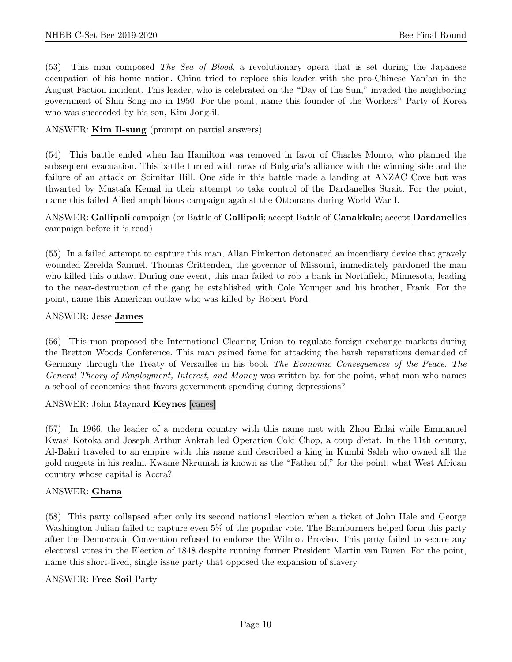(53) This man composed The Sea of Blood, a revolutionary opera that is set during the Japanese occupation of his home nation. China tried to replace this leader with the pro-Chinese Yan'an in the August Faction incident. This leader, who is celebrated on the "Day of the Sun," invaded the neighboring government of Shin Song-mo in 1950. For the point, name this founder of the Workers" Party of Korea who was succeeded by his son, Kim Jong-il.

ANSWER: Kim Il-sung (prompt on partial answers)

(54) This battle ended when Ian Hamilton was removed in favor of Charles Monro, who planned the subsequent evacuation. This battle turned with news of Bulgaria's alliance with the winning side and the failure of an attack on Scimitar Hill. One side in this battle made a landing at ANZAC Cove but was thwarted by Mustafa Kemal in their attempt to take control of the Dardanelles Strait. For the point, name this failed Allied amphibious campaign against the Ottomans during World War I.

#### ANSWER: Gallipoli campaign (or Battle of Gallipoli; accept Battle of Canakkale; accept Dardanelles campaign before it is read)

(55) In a failed attempt to capture this man, Allan Pinkerton detonated an incendiary device that gravely wounded Zerelda Samuel. Thomas Crittenden, the governor of Missouri, immediately pardoned the man who killed this outlaw. During one event, this man failed to rob a bank in Northfield, Minnesota, leading to the near-destruction of the gang he established with Cole Younger and his brother, Frank. For the point, name this American outlaw who was killed by Robert Ford.

#### ANSWER: Jesse James

(56) This man proposed the International Clearing Union to regulate foreign exchange markets during the Bretton Woods Conference. This man gained fame for attacking the harsh reparations demanded of Germany through the Treaty of Versailles in his book The Economic Consequences of the Peace. The General Theory of Employment, Interest, and Money was written by, for the point, what man who names a school of economics that favors government spending during depressions?

ANSWER: John Maynard Keynes [canes]

(57) In 1966, the leader of a modern country with this name met with Zhou Enlai while Emmanuel Kwasi Kotoka and Joseph Arthur Ankrah led Operation Cold Chop, a coup d'etat. In the 11th century, Al-Bakri traveled to an empire with this name and described a king in Kumbi Saleh who owned all the gold nuggets in his realm. Kwame Nkrumah is known as the "Father of," for the point, what West African country whose capital is Accra?

# ANSWER: Ghana

(58) This party collapsed after only its second national election when a ticket of John Hale and George Washington Julian failed to capture even 5% of the popular vote. The Barnburners helped form this party after the Democratic Convention refused to endorse the Wilmot Proviso. This party failed to secure any electoral votes in the Election of 1848 despite running former President Martin van Buren. For the point, name this short-lived, single issue party that opposed the expansion of slavery.

#### ANSWER: Free Soil Party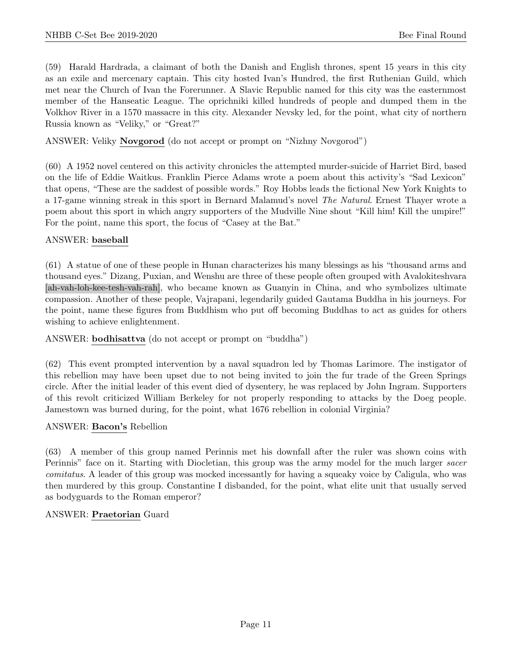(59) Harald Hardrada, a claimant of both the Danish and English thrones, spent 15 years in this city as an exile and mercenary captain. This city hosted Ivan's Hundred, the first Ruthenian Guild, which met near the Church of Ivan the Forerunner. A Slavic Republic named for this city was the easternmost member of the Hanseatic League. The oprichniki killed hundreds of people and dumped them in the Volkhov River in a 1570 massacre in this city. Alexander Nevsky led, for the point, what city of northern Russia known as "Veliky," or "Great?"

ANSWER: Veliky Novgorod (do not accept or prompt on "Nizhny Novgorod")

(60) A 1952 novel centered on this activity chronicles the attempted murder-suicide of Harriet Bird, based on the life of Eddie Waitkus. Franklin Pierce Adams wrote a poem about this activity's "Sad Lexicon" that opens, "These are the saddest of possible words." Roy Hobbs leads the fictional New York Knights to a 17-game winning streak in this sport in Bernard Malamud's novel The Natural. Ernest Thayer wrote a poem about this sport in which angry supporters of the Mudville Nine shout "Kill him! Kill the umpire!" For the point, name this sport, the focus of "Casey at the Bat."

#### ANSWER: baseball

(61) A statue of one of these people in Hunan characterizes his many blessings as his "thousand arms and thousand eyes." Dizang, Puxian, and Wenshu are three of these people often grouped with Avalokiteshvara [ah-vah-loh-kee-tesh-vah-rah], who became known as Guanyin in China, and who symbolizes ultimate compassion. Another of these people, Vajrapani, legendarily guided Gautama Buddha in his journeys. For the point, name these figures from Buddhism who put off becoming Buddhas to act as guides for others wishing to achieve enlightenment.

ANSWER: bodhisattva (do not accept or prompt on "buddha")

(62) This event prompted intervention by a naval squadron led by Thomas Larimore. The instigator of this rebellion may have been upset due to not being invited to join the fur trade of the Green Springs circle. After the initial leader of this event died of dysentery, he was replaced by John Ingram. Supporters of this revolt criticized William Berkeley for not properly responding to attacks by the Doeg people. Jamestown was burned during, for the point, what 1676 rebellion in colonial Virginia?

#### ANSWER: Bacon's Rebellion

(63) A member of this group named Perinnis met his downfall after the ruler was shown coins with Perinnis" face on it. Starting with Diocletian, this group was the army model for the much larger sacer comitatus. A leader of this group was mocked incessantly for having a squeaky voice by Caligula, who was then murdered by this group. Constantine I disbanded, for the point, what elite unit that usually served as bodyguards to the Roman emperor?

#### ANSWER: Praetorian Guard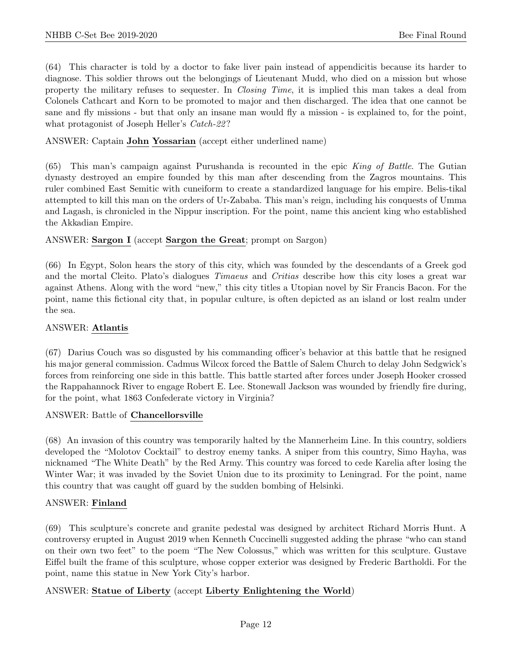(64) This character is told by a doctor to fake liver pain instead of appendicitis because its harder to diagnose. This soldier throws out the belongings of Lieutenant Mudd, who died on a mission but whose property the military refuses to sequester. In Closing Time, it is implied this man takes a deal from Colonels Cathcart and Korn to be promoted to major and then discharged. The idea that one cannot be sane and fly missions - but that only an insane man would fly a mission - is explained to, for the point, what protagonist of Joseph Heller's *Catch-22*?

ANSWER: Captain John Yossarian (accept either underlined name)

 $(65)$  This man's campaign against Purushanda is recounted in the epic King of Battle. The Gutian dynasty destroyed an empire founded by this man after descending from the Zagros mountains. This ruler combined East Semitic with cuneiform to create a standardized language for his empire. Belis-tikal attempted to kill this man on the orders of Ur-Zababa. This man's reign, including his conquests of Umma and Lagash, is chronicled in the Nippur inscription. For the point, name this ancient king who established the Akkadian Empire.

#### ANSWER: Sargon I (accept Sargon the Great; prompt on Sargon)

(66) In Egypt, Solon hears the story of this city, which was founded by the descendants of a Greek god and the mortal Cleito. Plato's dialogues *Timaeus* and *Critias* describe how this city loses a great war against Athens. Along with the word "new," this city titles a Utopian novel by Sir Francis Bacon. For the point, name this fictional city that, in popular culture, is often depicted as an island or lost realm under the sea.

#### ANSWER: Atlantis

(67) Darius Couch was so disgusted by his commanding officer's behavior at this battle that he resigned his major general commission. Cadmus Wilcox forced the Battle of Salem Church to delay John Sedgwick's forces from reinforcing one side in this battle. This battle started after forces under Joseph Hooker crossed the Rappahannock River to engage Robert E. Lee. Stonewall Jackson was wounded by friendly fire during, for the point, what 1863 Confederate victory in Virginia?

#### ANSWER: Battle of Chancellorsville

(68) An invasion of this country was temporarily halted by the Mannerheim Line. In this country, soldiers developed the "Molotov Cocktail" to destroy enemy tanks. A sniper from this country, Simo Hayha, was nicknamed "The White Death" by the Red Army. This country was forced to cede Karelia after losing the Winter War; it was invaded by the Soviet Union due to its proximity to Leningrad. For the point, name this country that was caught off guard by the sudden bombing of Helsinki.

# ANSWER: Finland

(69) This sculpture's concrete and granite pedestal was designed by architect Richard Morris Hunt. A controversy erupted in August 2019 when Kenneth Cuccinelli suggested adding the phrase "who can stand on their own two feet" to the poem "The New Colossus," which was written for this sculpture. Gustave Eiffel built the frame of this sculpture, whose copper exterior was designed by Frederic Bartholdi. For the point, name this statue in New York City's harbor.

# ANSWER: Statue of Liberty (accept Liberty Enlightening the World)